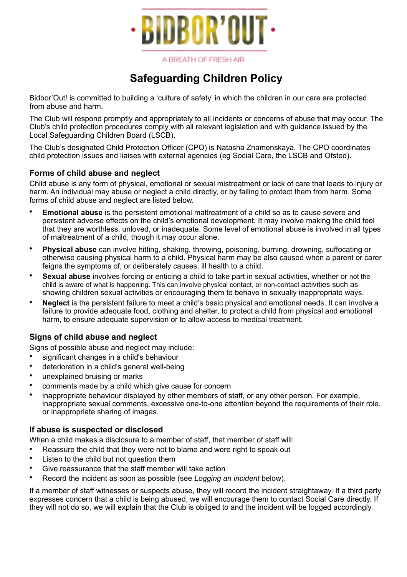

A BREATH OF FRESH AIR

# **Safeguarding Children Policy**

Bidbor'Out! is committed to building a 'culture of safety' in which the children in our care are protected from abuse and harm.

The Club will respond promptly and appropriately to all incidents or concerns of abuse that may occur. The Club's child protection procedures comply with all relevant legislation and with guidance issued by the Local Safeguarding Children Board (LSCB).

The Club's designated Child Protection Officer (CPO) is Natasha Znamenskaya. The CPO coordinates child protection issues and liaises with external agencies (eg Social Care, the LSCB and Ofsted).

## **Forms of child abuse and neglect**

Child abuse is any form of physical, emotional or sexual mistreatment or lack of care that leads to injury or harm. An individual may abuse or neglect a child directly, or by failing to protect them from harm. Some forms of child abuse and neglect are listed below.

- **Emotional abuse** is the persistent emotional maltreatment of a child so as to cause severe and persistent adverse effects on the child's emotional development. It may involve making the child feel that they are worthless, unloved, or inadequate. Some level of emotional abuse is involved in all types of maltreatment of a child, though it may occur alone.
- **Physical abuse** can involve hitting, shaking, throwing, poisoning, burning, drowning, suffocating or otherwise causing physical harm to a child. Physical harm may be also caused when a parent or carer feigns the symptoms of, or deliberately causes, ill health to a child.
- **Sexual abuse** involves forcing or enticing a child to take part in sexual activities, whether or not the child is aware of what is happening. This can involve physical contact, or non-contact activities such as showing children sexual activities or encouraging them to behave in sexually inappropriate ways.
- **Neglect** is the persistent failure to meet a child's basic physical and emotional needs. It can involve a failure to provide adequate food, clothing and shelter, to protect a child from physical and emotional harm, to ensure adequate supervision or to allow access to medical treatment.

## **Signs of child abuse and neglect**

Signs of possible abuse and neglect may include:

- significant changes in a child's behaviour
- deterioration in a child's general well-being
- unexplained bruising or marks
- comments made by a child which give cause for concern
- inappropriate behaviour displayed by other members of staff, or any other person. For example, inappropriate sexual comments, excessive one-to-one attention beyond the requirements of their role, or inappropriate sharing of images.

#### **If abuse is suspected or disclosed**

When a child makes a disclosure to a member of staff, that member of staff will:

- Reassure the child that they were not to blame and were right to speak out
- Listen to the child but not question them
- Give reassurance that the staff member will take action
- Record the incident as soon as possible (see *Logging an incident* below).

If a member of staff witnesses or suspects abuse, they will record the incident straightaway. If a third party expresses concern that a child is being abused, we will encourage them to contact Social Care directly. If they will not do so, we will explain that the Club is obliged to and the incident will be logged accordingly.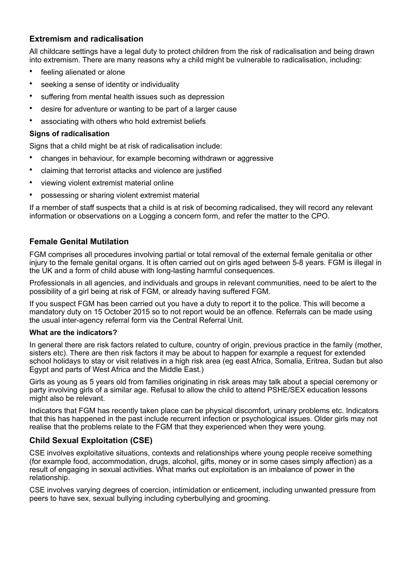## **Extremism and radicalisation**

All childcare settings have a legal duty to protect children from the risk of radicalisation and being drawn into extremism. There are many reasons why a child might be vulnerable to radicalisation, including:

- feeling alienated or alone
- seeking a sense of identity or individuality
- suffering from mental health issues such as depression
- desire for adventure or wanting to be part of a larger cause
- associating with others who hold extremist beliefs

#### **Signs of radicalisation**

Signs that a child might be at risk of radicalisation include:

- changes in behaviour, for example becoming withdrawn or aggressive
- claiming that terrorist attacks and violence are justified
- viewing violent extremist material online
- possessing or sharing violent extremist material

If a member of staff suspects that a child is at risk of becoming radicalised, they will record any relevant information or observations on a Logging a concern form, and refer the matter to the CPO.

#### **Female Genital Mutilation**

FGM comprises all procedures involving partial or total removal of the external female genitalia or other injury to the female genital organs. It is often carried out on girls aged between 5-8 years. FGM is illegal in the UK and a form of child abuse with long-lasting harmful consequences.

Professionals in all agencies, and individuals and groups in relevant communities, need to be alert to the possibility of a girl being at risk of FGM, or already having suffered FGM.

If you suspect FGM has been carried out you have a duty to report it to the police. This will become a mandatory duty on 15 October 2015 so to not report would be an offence. Referrals can be made using the usual inter-agency referral form via the Central Referral Unit.

#### **What are the indicators?**

In general there are risk factors related to culture, country of origin, previous practice in the family (mother, sisters etc). There are then risk factors it may be about to happen for example a request for extended school holidays to stay or visit relatives in a high risk area (eg east Africa, Somalia, Eritrea, Sudan but also Egypt and parts of West Africa and the Middle East.)

Girls as young as 5 years old from families originating in risk areas may talk about a special ceremony or party involving girls of a similar age. Refusal to allow the child to attend PSHE/SEX education lessons might also be relevant.

Indicators that FGM has recently taken place can be physical discomfort, urinary problems etc. Indicators that this has happened in the past include recurrent infection or psychological issues. Older girls may not realise that the problems relate to the FGM that they experienced when they were young.

#### **Child Sexual Exploitation (CSE)**

CSE involves exploitative situations, contexts and relationships where young people receive something (for example food, accommodation, drugs, alcohol, gifts, money or in some cases simply affection) as a result of engaging in sexual activities. What marks out exploitation is an imbalance of power in the relationship.

CSE involves varying degrees of coercion, intimidation or enticement, including unwanted pressure from peers to have sex, sexual bullying including cyberbullying and grooming.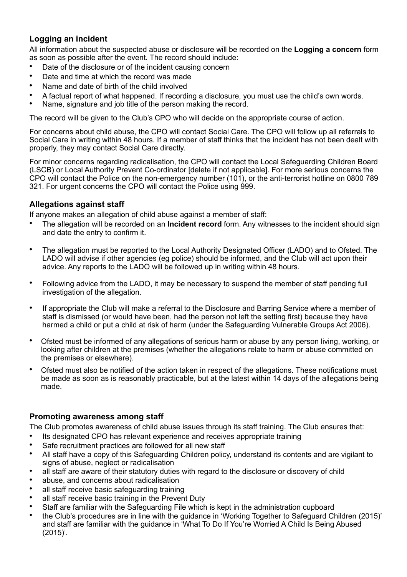# **Logging an incident**

All information about the suspected abuse or disclosure will be recorded on the **Logging a concern** form as soon as possible after the event. The record should include:

- Date of the disclosure or of the incident causing concern
- Date and time at which the record was made
- Name and date of birth of the child involved
- A factual report of what happened. If recording a disclosure, you must use the child's own words.
- Name, signature and job title of the person making the record.

The record will be given to the Club's CPO who will decide on the appropriate course of action.

For concerns about child abuse, the CPO will contact Social Care. The CPO will follow up all referrals to Social Care in writing within 48 hours. If a member of staff thinks that the incident has not been dealt with properly, they may contact Social Care directly.

For minor concerns regarding radicalisation, the CPO will contact the Local Safeguarding Children Board (LSCB) or Local Authority Prevent Co-ordinator [delete if not applicable]. For more serious concerns the CPO will contact the Police on the non-emergency number (101), or the anti-terrorist hotline on 0800 789 321. For urgent concerns the CPO will contact the Police using 999.

## **Allegations against staff**

If anyone makes an allegation of child abuse against a member of staff:

- The allegation will be recorded on an **Incident record** form. Any witnesses to the incident should sign and date the entry to confirm it.
- The allegation must be reported to the Local Authority Designated Officer (LADO) and to Ofsted. The LADO will advise if other agencies (eg police) should be informed, and the Club will act upon their advice. Any reports to the LADO will be followed up in writing within 48 hours.
- Following advice from the LADO, it may be necessary to suspend the member of staff pending full investigation of the allegation.
- If appropriate the Club will make a referral to the Disclosure and Barring Service where a member of staff is dismissed (or would have been, had the person not left the setting first) because they have harmed a child or put a child at risk of harm (under the Safeguarding Vulnerable Groups Act 2006).
- Ofsted must be informed of any allegations of serious harm or abuse by any person living, working, or looking after children at the premises (whether the allegations relate to harm or abuse committed on the premises or elsewhere).
- Ofsted must also be notified of the action taken in respect of the allegations. These notifications must be made as soon as is reasonably practicable, but at the latest within 14 days of the allegations being made.

## **Promoting awareness among staff**

The Club promotes awareness of child abuse issues through its staff training. The Club ensures that:

- Its designated CPO has relevant experience and receives appropriate training
- Safe recruitment practices are followed for all new staff
- All staff have a copy of this Safeguarding Children policy, understand its contents and are vigilant to signs of abuse, neglect or radicalisation
- all staff are aware of their statutory duties with regard to the disclosure or discovery of child
- abuse, and concerns about radicalisation
- all staff receive basic safeguarding training
- all staff receive basic training in the Prevent Duty
- Staff are familiar with the Safeguarding File which is kept in the administration cupboard
- the Club's procedures are in line with the guidance in 'Working Together to Safeguard Children (2015)' and staff are familiar with the guidance in 'What To Do If You're Worried A Child Is Being Abused (2015)'.